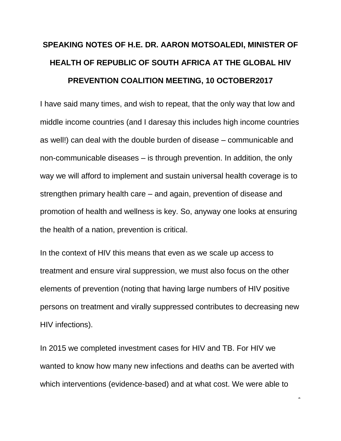## **SPEAKING NOTES OF H.E. DR. AARON MOTSOALEDI, MINISTER OF HEALTH OF REPUBLIC OF SOUTH AFRICA AT THE GLOBAL HIV PREVENTION COALITION MEETING, 10 OCTOBER2017**

I have said many times, and wish to repeat, that the only way that low and middle income countries (and I daresay this includes high income countries as well!) can deal with the double burden of disease – communicable and non-communicable diseases – is through prevention. In addition, the only way we will afford to implement and sustain universal health coverage is to strengthen primary health care – and again, prevention of disease and promotion of health and wellness is key. So, anyway one looks at ensuring the health of a nation, prevention is critical.

In the context of HIV this means that even as we scale up access to treatment and ensure viral suppression, we must also focus on the other elements of prevention (noting that having large numbers of HIV positive persons on treatment and virally suppressed contributes to decreasing new HIV infections).

In 2015 we completed investment cases for HIV and TB. For HIV we wanted to know how many new infections and deaths can be averted with which interventions (evidence-based) and at what cost. We were able to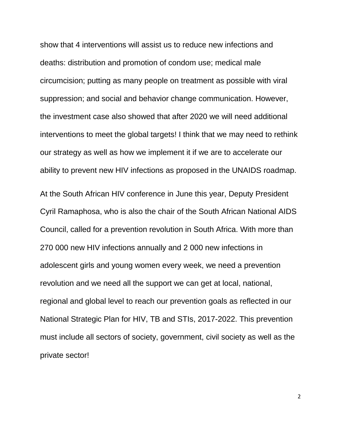show that 4 interventions will assist us to reduce new infections and deaths: distribution and promotion of condom use; medical male circumcision; putting as many people on treatment as possible with viral suppression; and social and behavior change communication. However, the investment case also showed that after 2020 we will need additional interventions to meet the global targets! I think that we may need to rethink our strategy as well as how we implement it if we are to accelerate our ability to prevent new HIV infections as proposed in the UNAIDS roadmap.

At the South African HIV conference in June this year, Deputy President Cyril Ramaphosa, who is also the chair of the South African National AIDS Council, called for a prevention revolution in South Africa. With more than 270 000 new HIV infections annually and 2 000 new infections in adolescent girls and young women every week, we need a prevention revolution and we need all the support we can get at local, national, regional and global level to reach our prevention goals as reflected in our National Strategic Plan for HIV, TB and STIs, 2017-2022. This prevention must include all sectors of society, government, civil society as well as the private sector!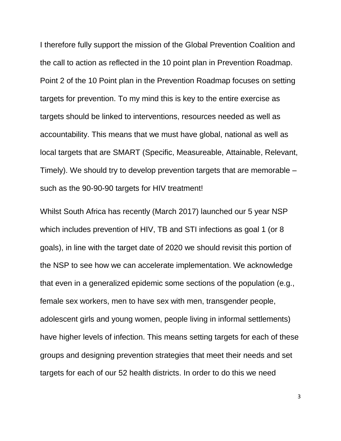I therefore fully support the mission of the Global Prevention Coalition and the call to action as reflected in the 10 point plan in Prevention Roadmap. Point 2 of the 10 Point plan in the Prevention Roadmap focuses on setting targets for prevention. To my mind this is key to the entire exercise as targets should be linked to interventions, resources needed as well as accountability. This means that we must have global, national as well as local targets that are SMART (Specific, Measureable, Attainable, Relevant, Timely). We should try to develop prevention targets that are memorable – such as the 90-90-90 targets for HIV treatment!

Whilst South Africa has recently (March 2017) launched our 5 year NSP which includes prevention of HIV, TB and STI infections as goal 1 (or 8) goals), in line with the target date of 2020 we should revisit this portion of the NSP to see how we can accelerate implementation. We acknowledge that even in a generalized epidemic some sections of the population (e.g., female sex workers, men to have sex with men, transgender people, adolescent girls and young women, people living in informal settlements) have higher levels of infection. This means setting targets for each of these groups and designing prevention strategies that meet their needs and set targets for each of our 52 health districts. In order to do this we need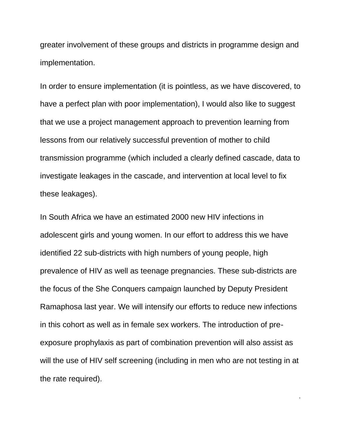greater involvement of these groups and districts in programme design and implementation.

In order to ensure implementation (it is pointless, as we have discovered, to have a perfect plan with poor implementation), I would also like to suggest that we use a project management approach to prevention learning from lessons from our relatively successful prevention of mother to child transmission programme (which included a clearly defined cascade, data to investigate leakages in the cascade, and intervention at local level to fix these leakages).

In South Africa we have an estimated 2000 new HIV infections in adolescent girls and young women. In our effort to address this we have identified 22 sub-districts with high numbers of young people, high prevalence of HIV as well as teenage pregnancies. These sub-districts are the focus of the She Conquers campaign launched by Deputy President Ramaphosa last year. We will intensify our efforts to reduce new infections in this cohort as well as in female sex workers. The introduction of preexposure prophylaxis as part of combination prevention will also assist as will the use of HIV self screening (including in men who are not testing in at the rate required).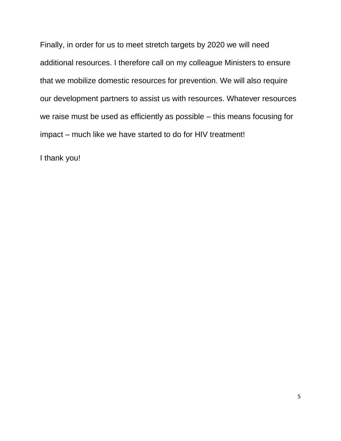Finally, in order for us to meet stretch targets by 2020 we will need additional resources. I therefore call on my colleague Ministers to ensure that we mobilize domestic resources for prevention. We will also require our development partners to assist us with resources. Whatever resources we raise must be used as efficiently as possible – this means focusing for impact – much like we have started to do for HIV treatment!

I thank you!